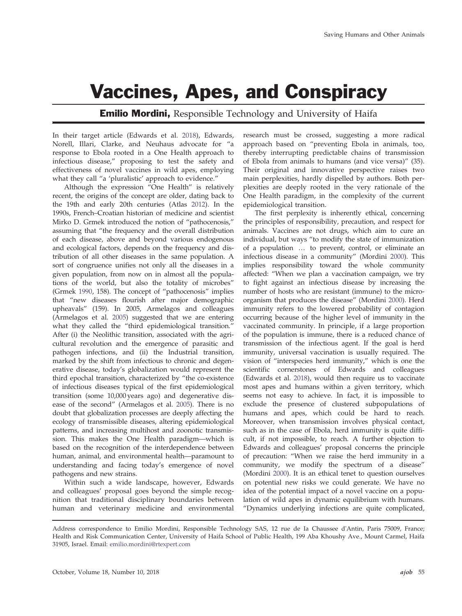## Vaccines, Apes, and Conspiracy

**Emilio Mordini,** Responsible Technology and University of Haifa

In their target article (Edwards et al. 2018), Edwards, Norell, Illari, Clarke, and Neuhaus advocate for "a response to Ebola rooted in a One Health approach to infectious disease," proposing to test the safety and effectiveness of novel vaccines in wild apes, employing what they call "a 'pluralistic' approach to evidence."

Although the expression "One Health" is relatively recent, the origins of the concept are older, dating back to the 19th and early 20th centuries (Atlas 2012). In the 1990s, French–Croatian historian of medicine and scientist Mirko D. Grmek introduced the notion of "pathocenosis," assuming that "the frequency and the overall distribution of each disease, above and beyond various endogenous and ecological factors, depends on the frequency and distribution of all other diseases in the same population. A sort of congruence unifies not only all the diseases in a given population, from now on in almost all the populations of the world, but also the totality of microbes" (Grmek 1990, 158). The concept of "pathocenosis" implies that "new diseases flourish after major demographic upheavals" (159). In 2005, Armelagos and colleagues (Armelagos et al. 2005) suggested that we are entering what they called the "third epidemiological transition." After (i) the Neolithic transition, associated with the agricultural revolution and the emergence of parasitic and pathogen infections, and (ii) the Industrial transition, marked by the shift from infectious to chronic and degenerative disease, today's globalization would represent the third epochal transition, characterized by "the co-existence of infectious diseases typical of the first epidemiological transition (some 10,000 years ago) and degenerative disease of the second" (Armelagos et al. 2005). There is no doubt that globalization processes are deeply affecting the ecology of transmissible diseases, altering epidemiological patterns, and increasing multihost and zoonotic transmission. This makes the One Health paradigm—which is based on the recognition of the interdependence between human, animal, and environmental health—paramount to understanding and facing today's emergence of novel pathogens and new strains.

Within such a wide landscape, however, Edwards and colleagues' proposal goes beyond the simple recognition that traditional disciplinary boundaries between human and veterinary medicine and environmental research must be crossed, suggesting a more radical approach based on "preventing Ebola in animals, too, thereby interrupting predictable chains of transmission of Ebola from animals to humans (and vice versa)" (35). Their original and innovative perspective raises two main perplexities, hardly dispelled by authors. Both perplexities are deeply rooted in the very rationale of the One Health paradigm, in the complexity of the current epidemiological transition.

The first perplexity is inherently ethical, concerning the principles of responsibility, precaution, and respect for animals. Vaccines are not drugs, which aim to cure an individual, but ways "to modify the state of immunization of a population … to prevent, control, or eliminate an infectious disease in a community" (Mordini 2000). This implies responsibility toward the whole community affected: "When we plan a vaccination campaign, we try to fight against an infectious disease by increasing the number of hosts who are resistant (immune) to the microorganism that produces the disease" (Mordini 2000). Herd immunity refers to the lowered probability of contagion occurring because of the higher level of immunity in the vaccinated community. In principle, if a large proportion of the population is immune, there is a reduced chance of transmission of the infectious agent. If the goal is herd immunity, universal vaccination is usually required. The vision of "interspecies herd immunity," which is one the scientific cornerstones of Edwards and colleagues (Edwards et al. 2018), would then require us to vaccinate most apes and humans within a given territory, which seems not easy to achieve. In fact, it is impossible to exclude the presence of clustered subpopulations of humans and apes, which could be hard to reach. Moreover, when transmission involves physical contact, such as in the case of Ebola, herd immunity is quite difficult, if not impossible, to reach. A further objection to Edwards and colleagues' proposal concerns the principle of precaution: "When we raise the herd immunity in a community, we modify the spectrum of a disease" (Mordini 2000). It is an ethical tenet to question ourselves on potential new risks we could generate. We have no idea of the potential impact of a novel vaccine on a population of wild apes in dynamic equilibrium with humans. "Dynamics underlying infections are quite complicated,

Address correspondence to Emilio Mordini, Responsible Technology SAS, 12 rue de Ia Chaussee d'Antin, Paris 75009, France; Health and Risk Communication Center, University of Haifa School of Public Health, 199 Aba Khoushy Ave., Mount Carmel, Haifa 31905, Israel. Email: emilio.mordini@rtexpert.com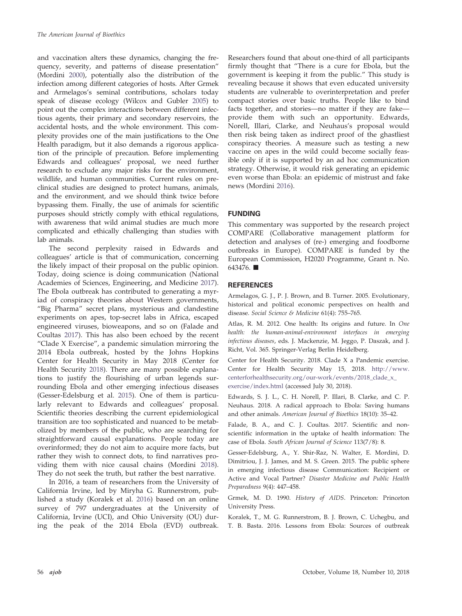and vaccination alters these dynamics, changing the frequency, severity, and patterns of disease presentation" (Mordini 2000), potentially also the distribution of the infection among different categories of hosts. After Grmek and Armelagos's seminal contributions, scholars today speak of disease ecology (Wilcox and Gubler 2005) to point out the complex interactions between different infectious agents, their primary and secondary reservoirs, the accidental hosts, and the whole environment. This complexity provides one of the main justifications to the One Health paradigm, but it also demands a rigorous application of the principle of precaution. Before implementing Edwards and colleagues' proposal, we need further research to exclude any major risks for the environment, wildlife, and human communities. Current rules on preclinical studies are designed to protect humans, animals, and the environment, and we should think twice before bypassing them. Finally, the use of animals for scientific purposes should strictly comply with ethical regulations, with awareness that wild animal studies are much more complicated and ethically challenging than studies with lab animals.

The second perplexity raised in Edwards and colleagues' article is that of communication, concerning the likely impact of their proposal on the public opinion. Today, doing science is doing communication (National Academies of Sciences, Engineering, and Medicine 2017). The Ebola outbreak has contributed to generating a myriad of conspiracy theories about Western governments, "Big Pharma" secret plans, mysterious and clandestine experiments on apes, top-secret labs in Africa, escaped engineered viruses, bioweapons, and so on (Falade and Coultas 2017). This has also been echoed by the recent "Clade X Exercise", a pandemic simulation mirroring the 2014 Ebola outbreak, hosted by the Johns Hopkins Center for Health Security in May 2018 (Center for Health Security 2018). There are many possible explanations to justify the flourishing of urban legends surrounding Ebola and other emerging infectious diseases (Gesser-Edelsburg et al. 2015). One of them is particularly relevant to Edwards and colleagues' proposal. Scientific theories describing the current epidemiological transition are too sophisticated and nuanced to be metabolized by members of the public, who are searching for straightforward causal explanations. People today are overinformed; they do not aim to acquire more facts, but rather they wish to connect dots, to find narratives providing them with nice causal chains (Mordini 2018). They do not seek the truth, but rather the best narrative.

In 2016, a team of researchers from the University of California Irvine, led by Miryha G. Runnerstrom, published a study (Koralek et al. 2016) based on an online survey of 797 undergraduates at the University of California, Irvine (UCI), and Ohio University (OU) during the peak of the 2014 Ebola (EVD) outbreak.

Researchers found that about one-third of all participants firmly thought that "There is a cure for Ebola, but the government is keeping it from the public." This study is revealing because it shows that even educated university students are vulnerable to overinterpretation and prefer compact stories over basic truths. People like to bind facts together, and stories—no matter if they are fake provide them with such an opportunity. Edwards, Norell, Illari, Clarke, and Neuhaus's proposal would then risk being taken as indirect proof of the ghastliest conspiracy theories. A measure such as testing a new vaccine on apes in the wild could become socially feasible only if it is supported by an ad hoc communication strategy. Otherwise, it would risk generating an epidemic even worse than Ebola: an epidemic of mistrust and fake news (Mordini 2016).

## FUNDING

This commentary was supported by the research project COMPARE (Collaborative management platform for detection and analyses of (re-) emerging and foodborne outbreaks in Europe). COMPARE is funded by the European Commission, H2020 Programme, Grant n. No. 643476.

## **REFERENCES**

Armelagos, G. J., P. J. Brown, and B. Turner. 2005. Evolutionary, historical and political economic perspectives on health and disease. Social Science & Medicine 61(4): 755–765.

Atlas, R. M. 2012. One health: Its origins and future. In One health: the human-animal-environment interfaces in emerging infectious diseases, eds. J. Mackenzie, M. Jeggo, P. Daszak, and J. Richt, Vol. 365. Springer-Verlag Berlin Heidelberg.

Center for Health Security. 2018. Clade X a Pandemic exercise. Center for Health Security May 15, 2018. [http://www.](http://www.centerforhealthsecurity.org/our-work/events/2018_clade_x_exercise/index.html) [centerforhealthsecurity.org/our-work/events/2018\\_clade\\_x\\_](http://www.centerforhealthsecurity.org/our-work/events/2018_clade_x_exercise/index.html) [exercise/index.html](http://www.centerforhealthsecurity.org/our-work/events/2018_clade_x_exercise/index.html) (accessed July 30, 2018).

Edwards, S. J. L., C. H. Norell, P. Illari, B. Clarke, and C. P. Neuhaus. 2018. A radical approach to Ebola: Saving humans and other animals. American Journal of Bioethics 18(10): 35–42.

Falade, B. A., and C. J. Coultas. 2017. Scientific and nonscientific information in the uptake of health information: The case of Ebola. South African Journal of Science 113(7/8): 8.

Gesser-Edelsburg, A., Y. Shir-Raz, N. Walter, E. Mordini, D. Dimitriou, J. J. James, and M. S. Green. 2015. The public sphere in emerging infectious disease Communication: Recipient or Active and Vocal Partner? Disaster Medicine and Public Health Preparedness 9(4): 447–458.

Grmek, M. D. 1990. History of AIDS. Princeton: Princeton University Press.

Koralek, T., M. G. Runnerstrom, B. J. Brown, C. Uchegbu, and T. B. Basta. 2016. Lessons from Ebola: Sources of outbreak